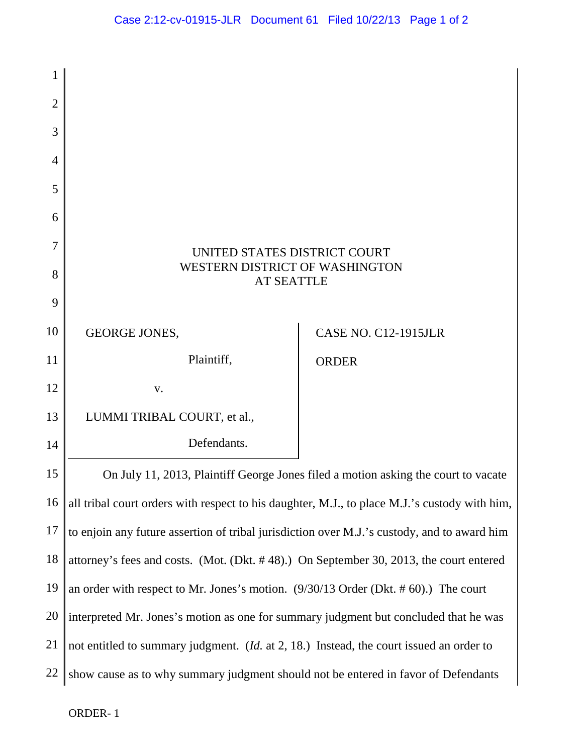

ORDER- 1